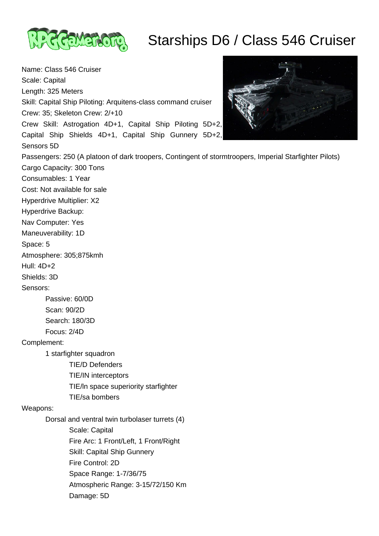

## Starships D6 / Class 546 Cruiser

Name: Class 546 Cruiser Scale: Capital Length: 325 Meters Skill: Capital Ship Piloting: Arquitens-class command cruiser Crew: 35; Skeleton Crew: 2/+10 Crew Skill: Astrogation 4D+1, Capital Ship Piloting 5D+2, Capital Ship Shields 4D+1, Capital Ship Gunnery 5D+2, Sensors 5D Passengers: 250 (A platoon of dark troopers, Contingent of stormtroopers, Imperial Starfighter Pilots) Cargo Capacity: 300 Tons Consumables: 1 Year Cost: Not available for sale Hyperdrive Multiplier: X2 Hyperdrive Backup: Nav Computer: Yes Maneuverability: 1D Space: 5 Atmosphere: 305;875kmh Hull: 4D+2 Shields: 3D Sensors: Passive: 60/0D Scan: 90/2D Search: 180/3D Focus: 2/4D Complement: 1 starfighter squadron TIE/D Defenders TIE/IN interceptors TIE/ln space superiority starfighter TIE/sa bombers Weapons: Dorsal and ventral twin turbolaser turrets (4) Scale: Capital Fire Arc: 1 Front/Left, 1 Front/Right Skill: Capital Ship Gunnery Fire Control: 2D Space Range: 1-7/36/75 Atmospheric Range: 3-15/72/150 Km Damage: 5D